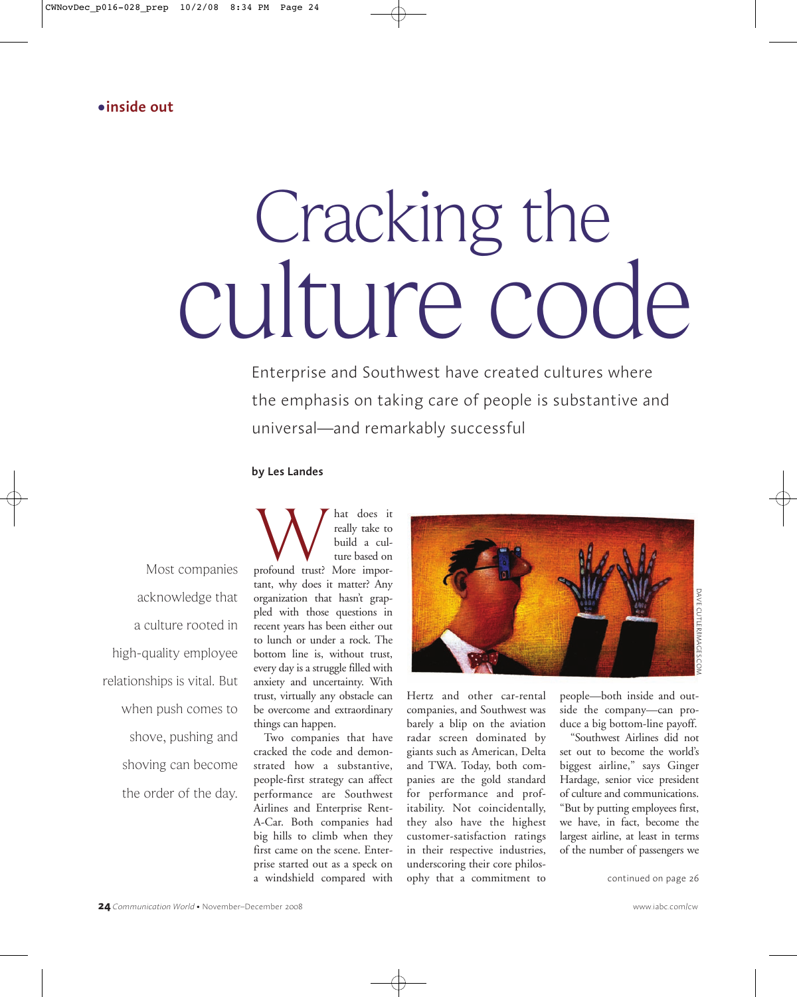# Cracking the culture code

Enterprise and Southwest have created cultures where the emphasis on taking care of people is substantive and universal—and remarkably successful

### **by Les Landes**

Most companies acknowledge that a culture rooted in high-quality employee relationships is vital. But when push comes to shove, pushing and shoving can become the order of the day.

What does it<br>
really take to<br>
build a cul-<br>
profound trust? More imporreally take to build a culture based on tant, why does it matter? Any organization that hasn't grappled with those questions in recent years has been either out to lunch or under a rock. The bottom line is, without trust, every day is a struggle filled with anxiety and uncertainty. With trust, virtually any obstacle can be overcome and extraordinary things can happen.

Two companies that have cracked the code and demonstrated how a substantive, people-first strategy can affect performance are Southwest Airlines and Enterprise Rent-A-Car. Both companies had big hills to climb when they first came on the scene. Enterprise started out as a speck on a windshield compared with



Hertz and other car-rental companies, and Southwest was barely a blip on the aviation radar screen dominated by giants such as American, Delta and TWA. Today, both companies are the gold standard for performance and profitability. Not coincidentally, they also have the highest customer-satisfaction ratings in their respective industries, underscoring their core philosophy that a commitment to

people—both inside and outside the company—can produce a big bottom-line payoff.

"Southwest Airlines did not set out to become the world's biggest airline," says Ginger Hardage, senior vice president of culture and communications. "But by putting employees first, we have, in fact, become the largest airline, at least in terms of the number of passengers we be a continued on page 26<br>continued on page 26 and out-<br>company—can pro-<br>bottom-line payoff.<br>rest Airlines did not<br>become the world's<br>reline," says Ginger<br>enior vice president<br>and communications.<br>tting employees first,<br>in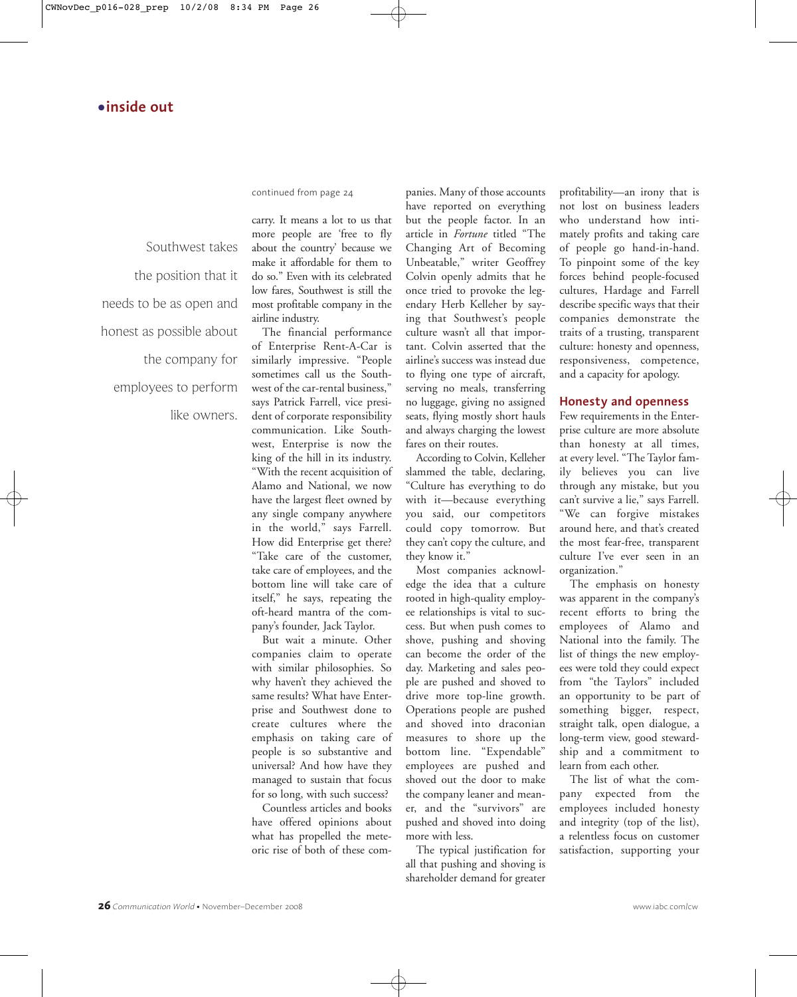#### continued from page 24

# Southwest takes the position that it

needs to be as open and honest as possible about the company for employees to perform like owners. carry. It means a lot to us that more people are 'free to fly about the country' because we make it affordable for them to do so." Even with its celebrated low fares, Southwest is still the most profitable company in the airline industry.

The financial performance of Enterprise Rent-A-Car is similarly impressive. "People sometimes call us the Southwest of the car-rental business," says Patrick Farrell, vice president of corporate responsibility communication. Like Southwest, Enterprise is now the king of the hill in its industry. "With the recent acquisition of Alamo and National, we now have the largest fleet owned by any single company anywhere in the world," says Farrell. How did Enterprise get there? "Take care of the customer, take care of employees, and the bottom line will take care of itself," he says, repeating the oft-heard mantra of the company's founder, Jack Taylor.

But wait a minute. Other companies claim to operate with similar philosophies. So why haven't they achieved the same results? What have Enterprise and Southwest done to create cultures where the emphasis on taking care of people is so substantive and universal? And how have they managed to sustain that focus for so long, with such success?

Countless articles and books have offered opinions about what has propelled the meteoric rise of both of these com-

panies. Many of those accounts have reported on everything but the people factor. In an article in *Fortune* titled "The Changing Art of Becoming Unbeatable," writer Geoffrey Colvin openly admits that he once tried to provoke the legendary Herb Kelleher by saying that Southwest's people culture wasn't all that important. Colvin asserted that the airline's success was instead due to flying one type of aircraft, serving no meals, transferring no luggage, giving no assigned seats, flying mostly short hauls and always charging the lowest fares on their routes.

According to Colvin, Kelleher slammed the table, declaring, "Culture has everything to do with it—because everything you said, our competitors could copy tomorrow. But they can't copy the culture, and they know it."

Most companies acknowledge the idea that a culture rooted in high-quality employee relationships is vital to success. But when push comes to shove, pushing and shoving can become the order of the day. Marketing and sales people are pushed and shoved to drive more top-line growth. Operations people are pushed and shoved into draconian measures to shore up the bottom line. "Expendable" employees are pushed and shoved out the door to make the company leaner and meaner, and the "survivors" are pushed and shoved into doing more with less.

The typical justification for all that pushing and shoving is shareholder demand for greater

profitability—an irony that is not lost on business leaders who understand how intimately profits and taking care of people go hand-in-hand. To pinpoint some of the key forces behind people-focused cultures, Hardage and Farrell describe specific ways that their companies demonstrate the traits of a trusting, transparent culture: honesty and openness, responsiveness, competence, and a capacity for apology.

#### **Honesty and openness**

Few requirements in the Enterprise culture are more absolute than honesty at all times, at every level. "The Taylor family believes you can live through any mistake, but you can't survive a lie," says Farrell. "We can forgive mistakes around here, and that's created the most fear-free, transparent culture I've ever seen in an organization."

The emphasis on honesty was apparent in the company's recent efforts to bring the employees of Alamo and National into the family. The list of things the new employees were told they could expect from "the Taylors" included an opportunity to be part of something bigger, respect, straight talk, open dialogue, a long-term view, good stewardship and a commitment to learn from each other.

The list of what the company expected from the employees included honesty and integrity (top of the list), a relentless focus on customer satisfaction, supporting your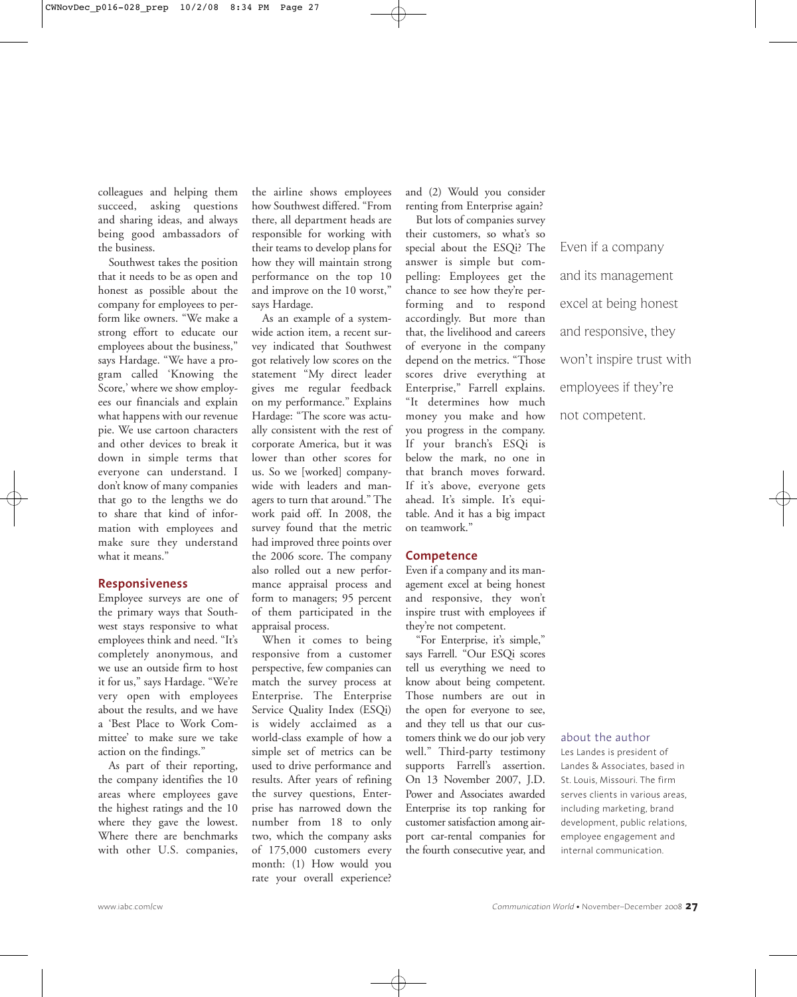colleagues and helping them succeed, asking questions and sharing ideas, and always being good ambassadors of the business.

Southwest takes the position that it needs to be as open and honest as possible about the company for employees to perform like owners. "We make a strong effort to educate our employees about the business," says Hardage. "We have a program called 'Knowing the Score,' where we show employees our financials and explain what happens with our revenue pie. We use cartoon characters and other devices to break it down in simple terms that everyone can understand. I don't know of many companies that go to the lengths we do to share that kind of information with employees and make sure they understand what it means."

#### **Responsiveness**

Employee surveys are one of the primary ways that Southwest stays responsive to what employees think and need. "It's completely anonymous, and we use an outside firm to host it for us," says Hardage. "We're very open with employees about the results, and we have a 'Best Place to Work Committee' to make sure we take action on the findings."

As part of their reporting, the company identifies the 10 areas where employees gave the highest ratings and the 10 where they gave the lowest. Where there are benchmarks with other U.S. companies, the airline shows employees how Southwest differed. "From there, all department heads are responsible for working with their teams to develop plans for how they will maintain strong performance on the top 10 and improve on the 10 worst," says Hardage.

As an example of a systemwide action item, a recent survey indicated that Southwest got relatively low scores on the statement "My direct leader gives me regular feedback on my performance." Explains Hardage: "The score was actually consistent with the rest of corporate America, but it was lower than other scores for us. So we [worked] companywide with leaders and managers to turn that around." The work paid off. In 2008, the survey found that the metric had improved three points over the 2006 score. The company also rolled out a new performance appraisal process and form to managers; 95 percent of them participated in the appraisal process.

When it comes to being responsive from a customer perspective, few companies can match the survey process at Enterprise. The Enterprise Service Quality Index (ESQi) is widely acclaimed as a world-class example of how a simple set of metrics can be used to drive performance and results. After years of refining the survey questions, Enterprise has narrowed down the number from 18 to only two, which the company asks of 175,000 customers every month: (1) How would you rate your overall experience?

and (2) Would you consider renting from Enterprise again?

But lots of companies survey their customers, so what's so special about the ESQi? The answer is simple but compelling: Employees get the chance to see how they're performing and to respond accordingly. But more than that, the livelihood and careers of everyone in the company depend on the metrics. "Those scores drive everything at Enterprise," Farrell explains. "It determines how much money you make and how you progress in the company. If your branch's ESQi is below the mark, no one in that branch moves forward. If it's above, everyone gets ahead. It's simple. It's equitable. And it has a big impact on teamwork."

#### **Competence**

Even if a company and its management excel at being honest and responsive, they won't inspire trust with employees if they're not competent.

"For Enterprise, it's simple," says Farrell. "Our ESQi scores tell us everything we need to know about being competent. Those numbers are out in the open for everyone to see, and they tell us that our customers think we do our job very well." Third-party testimony supports Farrell's assertion. On 13 November 2007, J.D. Power and Associates awarded Enterprise its top ranking for customer satisfaction among airport car-rental companies for the fourth consecutive year, and

Even if a company and its management excel at being honest and responsive, they won't inspire trust with employees if they're not competent.

# about the author

Les Landes is president of Landes & Associates, based in St. Louis, Missouri. The firm serves clients in various areas, including marketing, brand development, public relations, employee engagement and internal communication.